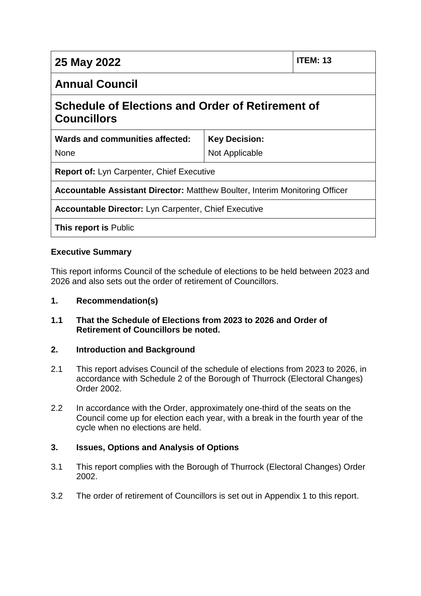| 25 May 2022                                                                        |                      | <b>ITEM: 13</b> |
|------------------------------------------------------------------------------------|----------------------|-----------------|
| <b>Annual Council</b>                                                              |                      |                 |
| Schedule of Elections and Order of Retirement of<br><b>Councillors</b>             |                      |                 |
| Wards and communities affected:                                                    | <b>Key Decision:</b> |                 |
| <b>None</b>                                                                        | Not Applicable       |                 |
| <b>Report of: Lyn Carpenter, Chief Executive</b>                                   |                      |                 |
| <b>Accountable Assistant Director: Matthew Boulter, Interim Monitoring Officer</b> |                      |                 |
| <b>Accountable Director:</b> Lyn Carpenter, Chief Executive                        |                      |                 |
| <b>This report is Public</b>                                                       |                      |                 |

## **Executive Summary**

This report informs Council of the schedule of elections to be held between 2023 and 2026 and also sets out the order of retirement of Councillors.

### **1. Recommendation(s)**

### **1.1 That the Schedule of Elections from 2023 to 2026 and Order of Retirement of Councillors be noted.**

## **2. Introduction and Background**

- 2.1 This report advises Council of the schedule of elections from 2023 to 2026, in accordance with Schedule 2 of the Borough of Thurrock (Electoral Changes) Order 2002.
- 2.2 In accordance with the Order, approximately one-third of the seats on the Council come up for election each year, with a break in the fourth year of the cycle when no elections are held.

### **3. Issues, Options and Analysis of Options**

- 3.1 This report complies with the Borough of Thurrock (Electoral Changes) Order 2002.
- 3.2 The order of retirement of Councillors is set out in Appendix 1 to this report.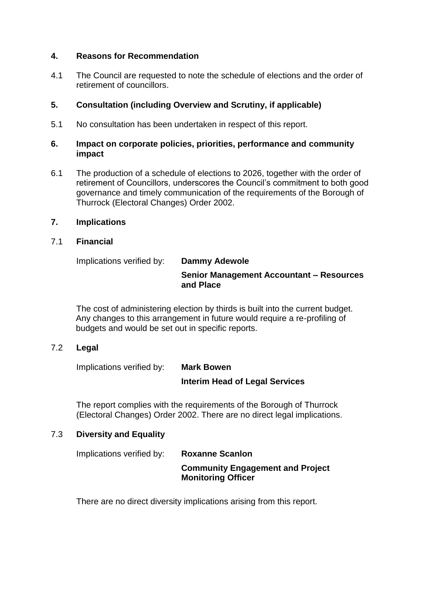#### **4. Reasons for Recommendation**

4.1 The Council are requested to note the schedule of elections and the order of retirement of councillors.

## **5. Consultation (including Overview and Scrutiny, if applicable)**

5.1 No consultation has been undertaken in respect of this report.

#### **6. Impact on corporate policies, priorities, performance and community impact**

6.1 The production of a schedule of elections to 2026, together with the order of retirement of Councillors, underscores the Council's commitment to both good governance and timely communication of the requirements of the Borough of Thurrock (Electoral Changes) Order 2002.

## **7. Implications**

### 7.1 **Financial**

Implications verified by: **Dammy Adewole** 

# **Senior Management Accountant – Resources and Place**

The cost of administering election by thirds is built into the current budget. Any changes to this arrangement in future would require a re-profiling of budgets and would be set out in specific reports.

## 7.2 **Legal**

Implications verified by: **Mark Bowen** 

# **Interim Head of Legal Services**

The report complies with the requirements of the Borough of Thurrock (Electoral Changes) Order 2002. There are no direct legal implications.

# 7.3 **Diversity and Equality**

| Implications verified by: | <b>Roxanne Scanlon</b>                                               |
|---------------------------|----------------------------------------------------------------------|
|                           | <b>Community Engagement and Project</b><br><b>Monitoring Officer</b> |

There are no direct diversity implications arising from this report.